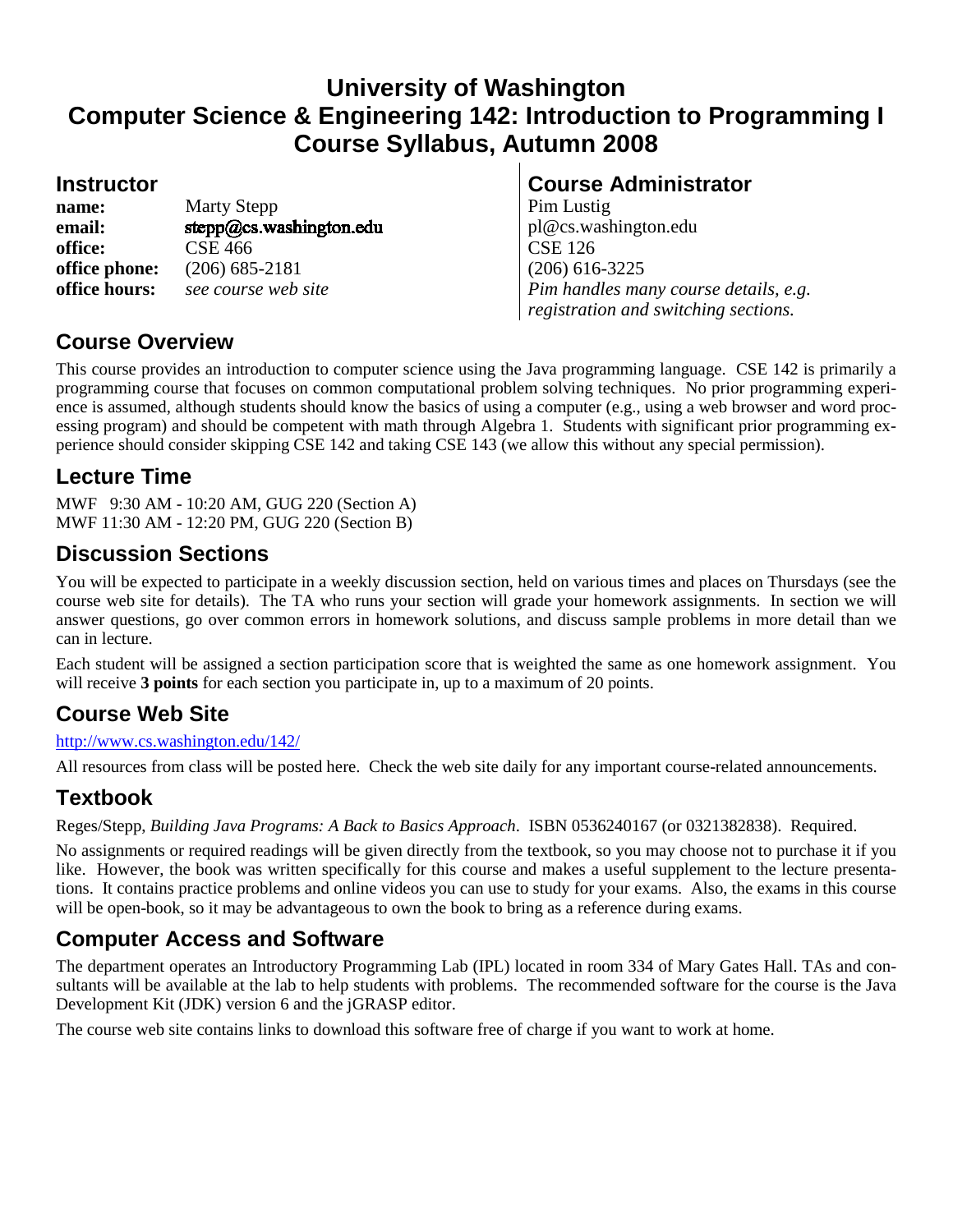# **University of Washington Computer Science & Engineering 142: Introduction to Programming I Course Syllabus, Autumn 2008**

| name:         | <b>Marty Stepp</b>      |
|---------------|-------------------------|
| email:        | stepp@cs.washington.edu |
| office:       | CSE 466                 |
| office phone: | $(206)$ 685-2181        |
| office hours: | see course web site     |

#### **Instructor Course Administrator**

**Pim Lustig email:** pl@cs.washington.edu **CSE 126 office phone:** (206) 685-2181 (206) 616-3225 *Pim handles many course details, e.g. registration and switching sections.* 

## **Course Overview**

This course provides an introduction to computer science using the Java programming language. CSE 142 is primarily a programming course that focuses on common computational problem solving techniques. No prior programming experience is assumed, although students should know the basics of using a computer (e.g., using a web browser and word processing program) and should be competent with math through Algebra 1. Students with significant prior programming experience should consider skipping CSE 142 and taking CSE 143 (we allow this without any special permission).

# **Lecture Time**

MWF 9:30 AM - 10:20 AM, GUG 220 (Section A) MWF 11:30 AM - 12:20 PM, GUG 220 (Section B)

## **Discussion Sections**

You will be expected to participate in a weekly discussion section, held on various times and places on Thursdays (see the course web site for details). The TA who runs your section will grade your homework assignments. In section we will answer questions, go over common errors in homework solutions, and discuss sample problems in more detail than we can in lecture.

Each student will be assigned a section participation score that is weighted the same as one homework assignment. You will receive **3 points** for each section you participate in, up to a maximum of 20 points.

# **Course Web Site**

#### http://www.cs.washington.edu/142/

All resources from class will be posted here. Check the web site daily for any important course-related announcements.

#### **Textbook**

Reges/Stepp, *Building Java Programs: A Back to Basics Approach*. ISBN 0536240167 (or 0321382838). Required.

No assignments or required readings will be given directly from the textbook, so you may choose not to purchase it if you like. However, the book was written specifically for this course and makes a useful supplement to the lecture presentations. It contains practice problems and online videos you can use to study for your exams. Also, the exams in this course will be open-book, so it may be advantageous to own the book to bring as a reference during exams.

# **Computer Access and Software**

The department operates an Introductory Programming Lab (IPL) located in room 334 of Mary Gates Hall. TAs and consultants will be available at the lab to help students with problems. The recommended software for the course is the Java Development Kit (JDK) version 6 and the jGRASP editor.

The course web site contains links to download this software free of charge if you want to work at home.